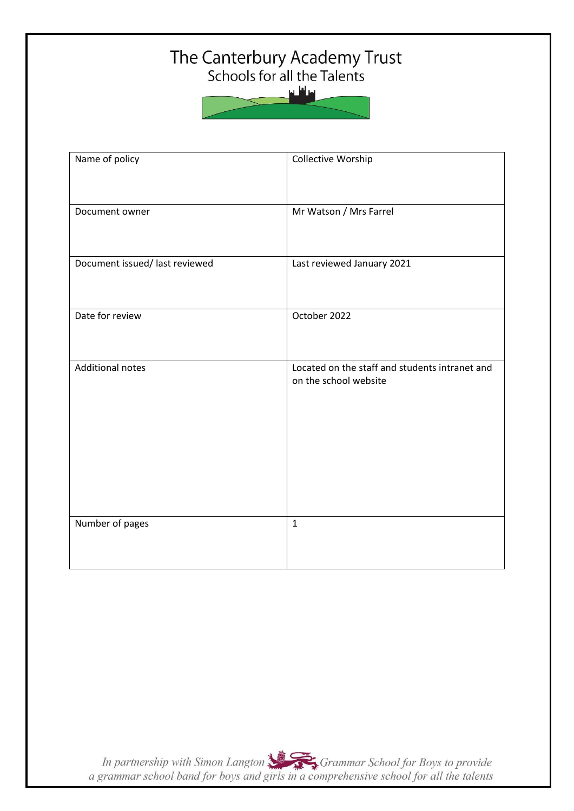## The Canterbury Academy Trust<br>Schools for all the Talents



| Name of policy                 | Collective Worship                                                      |
|--------------------------------|-------------------------------------------------------------------------|
| Document owner                 | Mr Watson / Mrs Farrel                                                  |
| Document issued/ last reviewed | Last reviewed January 2021                                              |
| Date for review                | October 2022                                                            |
| <b>Additional notes</b>        | Located on the staff and students intranet and<br>on the school website |
| Number of pages                | $\mathbf{1}$                                                            |

In partnership with Simon Langton Sexting Grammar School for Boys to provide<br>a grammar school band for boys and girls in a comprehensive school for all the talents